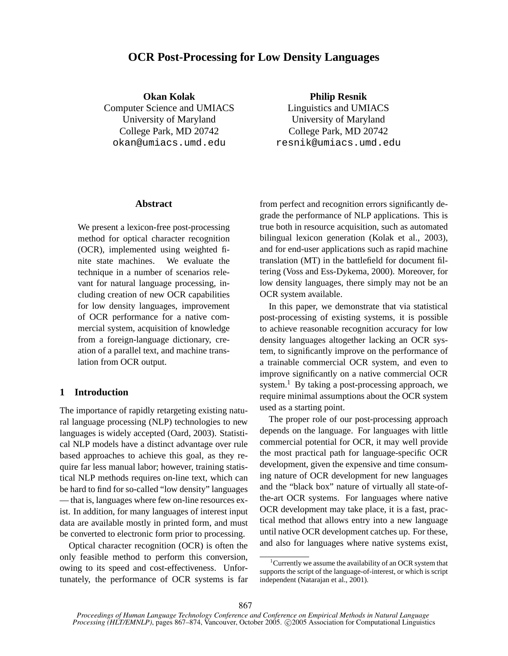# **OCR Post-Processing for Low Density Languages**

**Okan Kolak** Computer Science and UMIACS University of Maryland College Park, MD 20742 okan@umiacs.umd.edu

**Philip Resnik** Linguistics and UMIACS University of Maryland College Park, MD 20742 resnik@umiacs.umd.edu

# **Abstract**

We present a lexicon-free post-processing method for optical character recognition (OCR), implemented using weighted finite state machines. We evaluate the technique in a number of scenarios relevant for natural language processing, including creation of new OCR capabilities for low density languages, improvement of OCR performance for a native commercial system, acquisition of knowledge from a foreign-language dictionary, creation of a parallel text, and machine translation from OCR output.

# **1 Introduction**

The importance of rapidly retargeting existing natural language processing (NLP) technologies to new languages is widely accepted (Oard, 2003). Statistical NLP models have a distinct advantage over rule based approaches to achieve this goal, as they require far less manual labor; however, training statistical NLP methods requires on-line text, which can be hard to find for so-called "low density" languages — that is, languages where few on-line resources exist. In addition, for many languages of interest input data are available mostly in printed form, and must be converted to electronic form prior to processing.

Optical character recognition (OCR) is often the only feasible method to perform this conversion, owing to its speed and cost-effectiveness. Unfortunately, the performance of OCR systems is far from perfect and recognition errors significantly degrade the performance of NLP applications. This is true both in resource acquisition, such as automated bilingual lexicon generation (Kolak et al., 2003), and for end-user applications such as rapid machine translation (MT) in the battlefield for document filtering (Voss and Ess-Dykema, 2000). Moreover, for low density languages, there simply may not be an OCR system available.

In this paper, we demonstrate that via statistical post-processing of existing systems, it is possible to achieve reasonable recognition accuracy for low density languages altogether lacking an OCR system, to significantly improve on the performance of a trainable commercial OCR system, and even to improve significantly on a native commercial OCR system.<sup>1</sup> By taking a post-processing approach, we require minimal assumptions about the OCR system used as a starting point.

The proper role of our post-processing approach depends on the language. For languages with little commercial potential for OCR, it may well provide the most practical path for language-specific OCR development, given the expensive and time consuming nature of OCR development for new languages and the "black box" nature of virtually all state-ofthe-art OCR systems. For languages where native OCR development may take place, it is a fast, practical method that allows entry into a new language until native OCR development catches up. For these, and also for languages where native systems exist,

<sup>&</sup>lt;sup>1</sup> Currently we assume the availability of an OCR system that supports the script of the language-of-interest, or which is script independent (Natarajan et al., 2001).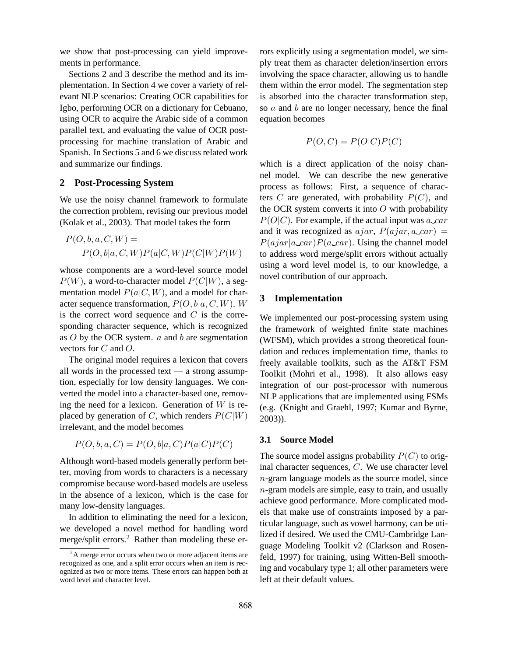we show that post-processing can yield improvements in performance.

Sections 2 and 3 describe the method and its implementation. In Section 4 we cover a variety of relevant NLP scenarios: Creating OCR capabilities for Igbo, performing OCR on a dictionary for Cebuano, using OCR to acquire the Arabic side of a common parallel text, and evaluating the value of OCR postprocessing for machine translation of Arabic and Spanish. In Sections 5 and 6 we discuss related work and summarize our findings.

# **2 Post-Processing System**

We use the noisy channel framework to formulate the correction problem, revising our previous model (Kolak et al., 2003). That model takes the form

$$
P(O, b, a, C, W) =
$$
  

$$
P(O, b|a, C, W)P(a|C, W)P(C|W)P(W)
$$

whose components are a word-level source model  $P(W)$ , a word-to-character model  $P(C|W)$ , a segmentation model  $P(a|C, W)$ , and a model for character sequence transformation,  $P(O, b|a, C, W)$ . W is the correct word sequence and  $C$  is the corresponding character sequence, which is recognized as  $O$  by the OCR system.  $a$  and  $b$  are segmentation vectors for C and O.

The original model requires a lexicon that covers all words in the processed text — a strong assumption, especially for low density languages. We converted the model into a character-based one, removing the need for a lexicon. Generation of  $W$  is replaced by generation of C, which renders  $P(C|W)$ irrelevant, and the model becomes

$$
P(O, b, a, C) = P(O, b|a, C)P(a|C)P(C)
$$

Although word-based models generally perform better, moving from words to characters is a necessary compromise because word-based models are useless in the absence of a lexicon, which is the case for many low-density languages.

In addition to eliminating the need for a lexicon, we developed a novel method for handling word merge/split errors.<sup>2</sup> Rather than modeling these errors explicitly using a segmentation model, we simply treat them as character deletion/insertion errors involving the space character, allowing us to handle them within the error model. The segmentation step is absorbed into the character transformation step, so a and b are no longer necessary, hence the final equation becomes

$$
P(O, C) = P(O|C)P(C)
$$

which is a direct application of the noisy channel model. We can describe the new generative process as follows: First, a sequence of characters C are generated, with probability  $P(C)$ , and the OCR system converts it into  $O$  with probability  $P(O|C)$ . For example, if the actual input was  $a\_{car}$ and it was recognized as  $ajar$ ,  $P(ajar, a\_car)$  =  $P(ajar|a\rightleftharpoondown P(a\rightleftharpoondown)P(a\rightleftharpoondown)P(a\rightleftharpoondron)$ . Using the channel model to address word merge/split errors without actually using a word level model is, to our knowledge, a novel contribution of our approach.

# **3 Implementation**

We implemented our post-processing system using the framework of weighted finite state machines (WFSM), which provides a strong theoretical foundation and reduces implementation time, thanks to freely available toolkits, such as the AT&T FSM Toolkit (Mohri et al., 1998). It also allows easy integration of our post-processor with numerous NLP applications that are implemented using FSMs (e.g. (Knight and Graehl, 1997; Kumar and Byrne, 2003)).

## **3.1 Source Model**

The source model assigns probability  $P(C)$  to original character sequences, C. We use character level n-gram language models as the source model, since n-gram models are simple, easy to train, and usually achieve good performance. More complicated models that make use of constraints imposed by a particular language, such as vowel harmony, can be utilized if desired. We used the CMU-Cambridge Language Modeling Toolkit v2 (Clarkson and Rosenfeld, 1997) for training, using Witten-Bell smoothing and vocabulary type 1; all other parameters were left at their default values.

<sup>&</sup>lt;sup>2</sup>A merge error occurs when two or more adjacent items are recognized as one, and a split error occurs when an item is recognized as two or more items. These errors can happen both at word level and character level.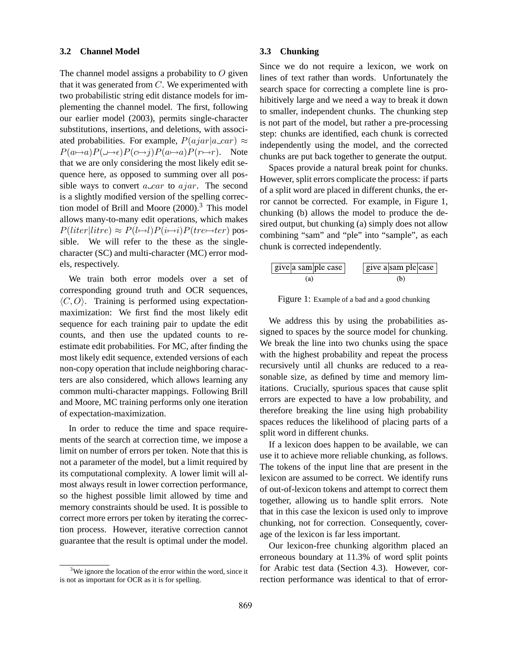## **3.2 Channel Model**

The channel model assigns a probability to  $O$  given that it was generated from  $C$ . We experimented with two probabilistic string edit distance models for implementing the channel model. The first, following our earlier model (2003), permits single-character substitutions, insertions, and deletions, with associated probabilities. For example,  $P(ajar|a\_{car}) \approx$  $P(a\mapsto a)P(\Rightarrow e)P(c\mapsto j)P(a\mapsto a)P(r\mapsto r)$ . Note that we are only considering the most likely edit sequence here, as opposed to summing over all possible ways to convert  $a\_{car}$  to  $a\,jar$ . The second is a slightly modified version of the spelling correction model of Brill and Moore  $(2000).$ <sup>3</sup> This model allows many-to-many edit operations, which makes  $P(liter|litre) \approx P(l\rightarrow l)P(i\rightarrow i)P(tre\rightarrow ter)$  possible. We will refer to the these as the singlecharacter (SC) and multi-character (MC) error models, respectively.

We train both error models over a set of corresponding ground truth and OCR sequences,  $\langle C, O \rangle$ . Training is performed using expectationmaximization: We first find the most likely edit sequence for each training pair to update the edit counts, and then use the updated counts to reestimate edit probabilities. For MC, after finding the most likely edit sequence, extended versions of each non-copy operation that include neighboring characters are also considered, which allows learning any common multi-character mappings. Following Brill and Moore, MC training performs only one iteration of expectation-maximization.

In order to reduce the time and space requirements of the search at correction time, we impose a limit on number of errors per token. Note that this is not a parameter of the model, but a limit required by its computational complexity. A lower limit will almost always result in lower correction performance, so the highest possible limit allowed by time and memory constraints should be used. It is possible to correct more errors per token by iterating the correction process. However, iterative correction cannot guarantee that the result is optimal under the model.

## **3.3 Chunking**

Since we do not require a lexicon, we work on lines of text rather than words. Unfortunately the search space for correcting a complete line is prohibitively large and we need a way to break it down to smaller, independent chunks. The chunking step is not part of the model, but rather a pre-processing step: chunks are identified, each chunk is corrected independently using the model, and the corrected chunks are put back together to generate the output.

Spaces provide a natural break point for chunks. However, split errors complicate the process: if parts of a split word are placed in different chunks, the error cannot be corrected. For example, in Figure 1, chunking (b) allows the model to produce the desired output, but chunking (a) simply does not allow combining "sam" and "ple" into "sample", as each chunk is corrected independently.

$$
[give] a sample case(a) [give a | same ple| case(b)
$$

Figure 1: Example of a bad and a good chunking

We address this by using the probabilities assigned to spaces by the source model for chunking. We break the line into two chunks using the space with the highest probability and repeat the process recursively until all chunks are reduced to a reasonable size, as defined by time and memory limitations. Crucially, spurious spaces that cause split errors are expected to have a low probability, and therefore breaking the line using high probability spaces reduces the likelihood of placing parts of a split word in different chunks.

If a lexicon does happen to be available, we can use it to achieve more reliable chunking, as follows. The tokens of the input line that are present in the lexicon are assumed to be correct. We identify runs of out-of-lexicon tokens and attempt to correct them together, allowing us to handle split errors. Note that in this case the lexicon is used only to improve chunking, not for correction. Consequently, coverage of the lexicon is far less important.

Our lexicon-free chunking algorithm placed an erroneous boundary at 11.3% of word split points for Arabic test data (Section 4.3). However, correction performance was identical to that of error-

 $3$ We ignore the location of the error within the word, since it is not as important for OCR as it is for spelling.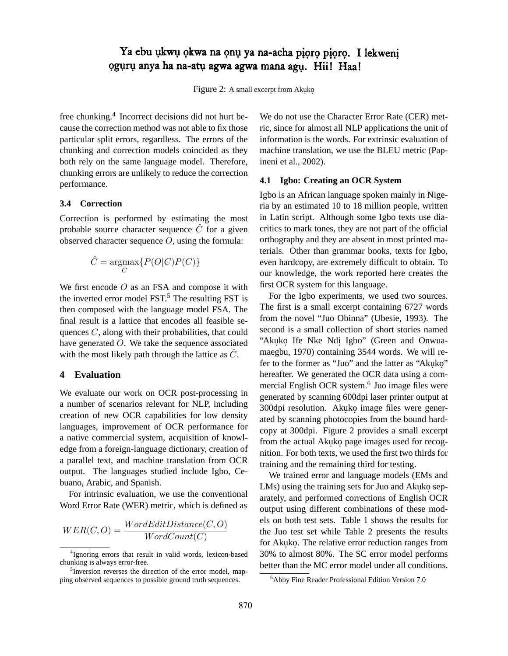# Ya ebu ukwu okwa na onu ya na-acha pioro pioro. I lekweni oguru anya ha na-atu agwa agwa mana agu. Hii! Haa!

Figure 2: A small excerpt from Akuko.

free chunking.<sup>4</sup> Incorrect decisions did not hurt because the correction method was not able to fix those particular split errors, regardless. The errors of the chunking and correction models coincided as they both rely on the same language model. Therefore, chunking errors are unlikely to reduce the correction performance.

### **3.4 Correction**

Correction is performed by estimating the most probable source character sequence  $\hat{C}$  for a given observed character sequence  $O$ , using the formula:

$$
\hat{C} = \underset{C}{\text{argmax}} \{ P(O|C)P(C) \}
$$

We first encode O as an FSA and compose it with the inverted error model  $FST<sup>5</sup>$ . The resulting FST is then composed with the language model FSA. The final result is a lattice that encodes all feasible sequences C, along with their probabilities, that could have generated O. We take the sequence associated with the most likely path through the lattice as  $\hat{C}$ .

# **4 Evaluation**

We evaluate our work on OCR post-processing in a number of scenarios relevant for NLP, including creation of new OCR capabilities for low density languages, improvement of OCR performance for a native commercial system, acquisition of knowledge from a foreign-language dictionary, creation of a parallel text, and machine translation from OCR output. The languages studied include Igbo, Cebuano, Arabic, and Spanish.

For intrinsic evaluation, we use the conventional Word Error Rate (WER) metric, which is defined as

$$
WER(C,O) = \frac{WordEditDistance(C,O)}{WordCount(C)}
$$

We do not use the Character Error Rate (CER) metric, since for almost all NLP applications the unit of information is the words. For extrinsic evaluation of machine translation, we use the BLEU metric (Papineni et al., 2002).

# **4.1 Igbo: Creating an OCR System**

Igbo is an African language spoken mainly in Nigeria by an estimated 10 to 18 million people, written in Latin script. Although some Igbo texts use diacritics to mark tones, they are not part of the official orthography and they are absent in most printed materials. Other than grammar books, texts for Igbo, even hardcopy, are extremely difficult to obtain. To our knowledge, the work reported here creates the first OCR system for this language.

For the Igbo experiments, we used two sources. The first is a small excerpt containing 6727 words from the novel "Juo Obinna" (Ubesie, 1993). The second is a small collection of short stories named "Akuko Ife Nke Ndi Igbo" (Green and Onwuamaegbu, 1970) containing 3544 words. We will refer to the former as "Juo" and the latter as "Akuko" hereafter. We generated the OCR data using a commercial English OCR system.<sup>6</sup> Juo image files were generated by scanning 600dpi laser printer output at 300dpi resolution. Akuko image files were generated by scanning photocopies from the bound hardcopy at 300dpi. Figure 2 provides a small excerpt from the actual Akuko page images used for recognition. For both texts, we used the first two thirds for training and the remaining third for testing.

We trained error and language models (EMs and LMs) using the training sets for Juo and Akuko separately, and performed corrections of English OCR output using different combinations of these models on both test sets. Table 1 shows the results for the Juo test set while Table 2 presents the results for Akuko. The relative error reduction ranges from 30% to almost 80%. The SC error model performs better than the MC error model under all conditions.

<sup>4</sup> Ignoring errors that result in valid words, lexicon-based chunking is always error-free.

<sup>&</sup>lt;sup>5</sup> Inversion reverses the direction of the error model, mapping observed sequences to possible ground truth sequences.

<sup>&</sup>lt;sup>6</sup>Abby Fine Reader Professional Edition Version 7.0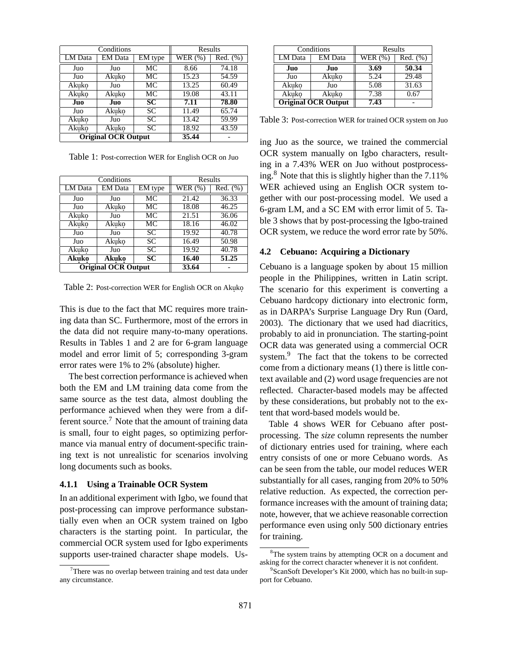| Conditions                 |                |                        | Results |                               |
|----------------------------|----------------|------------------------|---------|-------------------------------|
| LM Data                    | <b>EM</b> Data | EM type                | WER(%)  | $\overline{\text{Red}}$ . (%) |
| Juo                        | Juo            | МC                     | 8.66    | 74.18                         |
| Juo                        | Akuko          | МC                     | 15.23   | 54.59                         |
| Akuko                      | Juo            | МC                     | 13.25   | 60.49                         |
| Akuko                      | Akuko          | МC                     | 19.08   | 43.11                         |
| Juo                        | Juo            | $\overline{\text{SC}}$ | 7.11    | 78.80                         |
| Juo                        | Akuko          | <b>SC</b>              | 11.49   | 65.74                         |
| Akuko                      | Juo            | <b>SC</b>              | 13.42   | 59.99                         |
| Akuko                      | Akuko          | SC                     | 18.92   | 43.59                         |
| <b>Original OCR Output</b> |                |                        | 35.44   |                               |

Table 1: Post-correction WER for English OCR on Juo

| Conditions                 |                |                        | Results   |               |
|----------------------------|----------------|------------------------|-----------|---------------|
| LM Data                    | <b>EM</b> Data | EM type                | WER $(%)$ | $Red.$ $(\%)$ |
| Juo                        | Juo            | $\overline{\text{MC}}$ | 21.42     | 36.33         |
| Juo                        | Akuko          | МC                     | 18.08     | 46.25         |
| Akuko                      | Juo            | МC                     | 21.51     | 36.06         |
| Akuko                      | Akuko          | МC                     | 18.16     | 46.02         |
| Juo                        | Juo            | <b>SC</b>              | 19.92     | 40.78         |
| Juo                        | Akuko          | <b>SC</b>              | 16.49     | 50.98         |
| Akuko                      | Juo            | <b>SC</b>              | 19.92     | 40.78         |
| <b>Akuko</b>               | Akuko          | SC                     | 16.40     | 51.25         |
| <b>Original OCR Output</b> |                |                        | 33.64     |               |

Table 2: Post-correction WER for English OCR on Akuko.

This is due to the fact that MC requires more training data than SC. Furthermore, most of the errors in the data did not require many-to-many operations. Results in Tables 1 and 2 are for 6-gram language model and error limit of 5; corresponding 3-gram error rates were 1% to 2% (absolute) higher.

The best correction performance is achieved when both the EM and LM training data come from the same source as the test data, almost doubling the performance achieved when they were from a different source.<sup>7</sup> Note that the amount of training data is small, four to eight pages, so optimizing performance via manual entry of document-specific training text is not unrealistic for scenarios involving long documents such as books.

#### **4.1.1 Using a Trainable OCR System**

In an additional experiment with Igbo, we found that post-processing can improve performance substantially even when an OCR system trained on Igbo characters is the starting point. In particular, the commercial OCR system used for Igbo experiments supports user-trained character shape models. Us-

| Conditions                 |                | Results |               |
|----------------------------|----------------|---------|---------------|
| LM Data                    | <b>EM</b> Data | WER(%)  | $Red.$ $(\%)$ |
| Juo                        | Juo            | 3.69    | 50.34         |
| Juo                        | Akuko          | 5.24    | 29.48         |
| Akuko                      | Juo            | 5.08    | 31.63         |
| Akuko                      | Akuko          | 7.38    | 0.67          |
| <b>Original OCR Output</b> |                | 7.43    |               |

Table 3: Post-correction WER for trained OCR system on Juo

ing Juo as the source, we trained the commercial OCR system manually on Igbo characters, resulting in a 7.43% WER on Juo without postprocessing.<sup>8</sup> Note that this is slightly higher than the 7.11% WER achieved using an English OCR system together with our post-processing model. We used a 6-gram LM, and a SC EM with error limit of 5. Table 3 shows that by post-processing the Igbo-trained OCR system, we reduce the word error rate by 50%.

## **4.2 Cebuano: Acquiring a Dictionary**

Cebuano is a language spoken by about 15 million people in the Philippines, written in Latin script. The scenario for this experiment is converting a Cebuano hardcopy dictionary into electronic form, as in DARPA's Surprise Language Dry Run (Oard, 2003). The dictionary that we used had diacritics, probably to aid in pronunciation. The starting-point OCR data was generated using a commercial OCR system.<sup>9</sup> The fact that the tokens to be corrected come from a dictionary means (1) there is little context available and (2) word usage frequencies are not reflected. Character-based models may be affected by these considerations, but probably not to the extent that word-based models would be.

Table 4 shows WER for Cebuano after postprocessing. The *size* column represents the number of dictionary entries used for training, where each entry consists of one or more Cebuano words. As can be seen from the table, our model reduces WER substantially for all cases, ranging from 20% to 50% relative reduction. As expected, the correction performance increases with the amount of training data; note, however, that we achieve reasonable correction performance even using only 500 dictionary entries for training.

 $7$ There was no overlap between training and test data under any circumstance.

<sup>&</sup>lt;sup>8</sup>The system trains by attempting OCR on a document and asking for the correct character whenever it is not confident.

<sup>&</sup>lt;sup>9</sup>ScanSoft Developer's Kit 2000, which has no built-in support for Cebuano.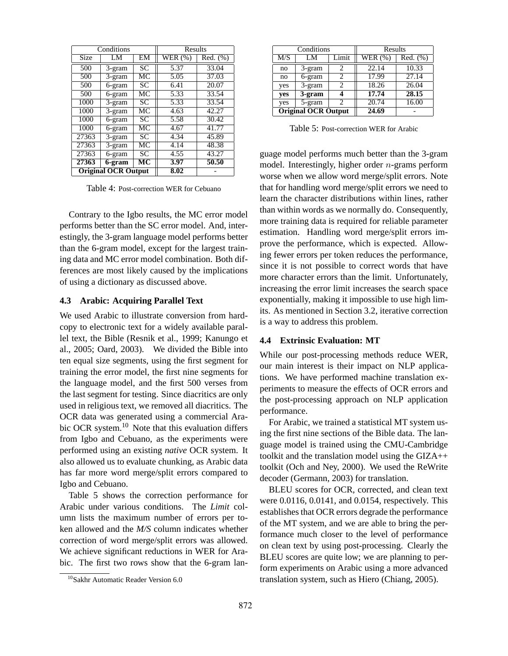| Conditions                 |          |                 | Results |          |
|----------------------------|----------|-----------------|---------|----------|
| <b>Size</b>                | LM       | EM              | WER(%)  | Red. (%) |
| 500                        | 3-gram   | $\overline{SC}$ | 5.37    | 33.04    |
| 500                        | 3-gram   | МC              | 5.05    | 37.03    |
| 500                        | 6-gram   | $\overline{SC}$ | 6.41    | 20.07    |
| 500                        | 6-gram   | МC              | 5.33    | 33.54    |
| <b>1000</b>                | 3-gram   | SC              | 5.33    | 33.54    |
| <b>1000</b>                | 3-gram   | МC              | 4.63    | 42.27    |
| 1000                       | 6-gram   | SC              | 5.58    | 30.42    |
| <b>1000</b>                | 6-gram   | МC              | 4.67    | 41.77    |
| 27363                      | $3-gram$ | SC              | 4.34    | 45.89    |
| 27363                      | 3-gram   | МC              | 4.14    | 48.38    |
| 27363                      | 6-gram   | $\overline{SC}$ | 4.55    | 43.27    |
| 27363                      | 6-gram   | МC              | 3.97    | 50.50    |
| <b>Original OCR Output</b> |          |                 | 8.02    |          |

Table 4: Post-correction WER for Cebuano

Contrary to the Igbo results, the MC error model performs better than the SC error model. And, interestingly, the 3-gram language model performs better than the 6-gram model, except for the largest training data and MC error model combination. Both differences are most likely caused by the implications of using a dictionary as discussed above.

### **4.3 Arabic: Acquiring Parallel Text**

We used Arabic to illustrate conversion from hardcopy to electronic text for a widely available parallel text, the Bible (Resnik et al., 1999; Kanungo et al., 2005; Oard, 2003). We divided the Bible into ten equal size segments, using the first segment for training the error model, the first nine segments for the language model, and the first 500 verses from the last segment for testing. Since diacritics are only used in religious text, we removed all diacritics. The OCR data was generated using a commercial Arabic OCR system.<sup>10</sup> Note that this evaluation differs from Igbo and Cebuano, as the experiments were performed using an existing *native* OCR system. It also allowed us to evaluate chunking, as Arabic data has far more word merge/split errors compared to Igbo and Cebuano.

Table 5 shows the correction performance for Arabic under various conditions. The *Limit* column lists the maximum number of errors per token allowed and the *M/S* column indicates whether correction of word merge/split errors was allowed. We achieve significant reductions in WER for Arabic. The first two rows show that the 6-gram lan-

| Conditions                 |        |                             | Results   |               |
|----------------------------|--------|-----------------------------|-----------|---------------|
| M/S                        | LM     | Limit                       | WER $(%)$ | $Red.$ $(\%)$ |
| no                         | 3-gram | $\mathfrak{D}$              | 22.14     | 10.33         |
| no                         | 6-gram | 2                           | 17.99     | 27.14         |
| yes                        | 3-gram | 2                           | 18.26     | 26.04         |
| yes                        | 3-gram |                             | 17.74     | 28.15         |
| yes                        | 5-gram | $\mathcal{D}_{\mathcal{A}}$ | 20.74     | 16.00         |
| <b>Original OCR Output</b> |        |                             | 24.69     |               |

Table 5: Post-correction WER for Arabic

guage model performs much better than the 3-gram model. Interestingly, higher order n-grams perform worse when we allow word merge/split errors. Note that for handling word merge/split errors we need to learn the character distributions within lines, rather than within words as we normally do. Consequently, more training data is required for reliable parameter estimation. Handling word merge/split errors improve the performance, which is expected. Allowing fewer errors per token reduces the performance, since it is not possible to correct words that have more character errors than the limit. Unfortunately, increasing the error limit increases the search space exponentially, making it impossible to use high limits. As mentioned in Section 3.2, iterative correction is a way to address this problem.

## **4.4 Extrinsic Evaluation: MT**

While our post-processing methods reduce WER, our main interest is their impact on NLP applications. We have performed machine translation experiments to measure the effects of OCR errors and the post-processing approach on NLP application performance.

For Arabic, we trained a statistical MT system using the first nine sections of the Bible data. The language model is trained using the CMU-Cambridge toolkit and the translation model using the GIZA++ toolkit (Och and Ney, 2000). We used the ReWrite decoder (Germann, 2003) for translation.

BLEU scores for OCR, corrected, and clean text were 0.0116, 0.0141, and 0.0154, respectively. This establishes that OCR errors degrade the performance of the MT system, and we are able to bring the performance much closer to the level of performance on clean text by using post-processing. Clearly the BLEU scores are quite low; we are planning to perform experiments on Arabic using a more advanced translation system, such as Hiero (Chiang, 2005).

<sup>&</sup>lt;sup>10</sup>Sakhr Automatic Reader Version 6.0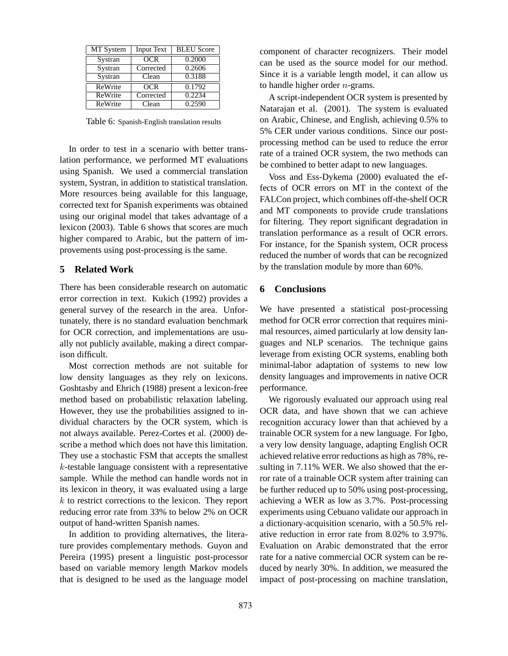| <b>MT</b> System | <b>Input Text</b> | <b>BLEU</b> Score |
|------------------|-------------------|-------------------|
| Systran          | <b>OCR</b>        | 0.2000            |
| Systran          | Corrected         | 0.2606            |
| Systran          | Clean             | 0.3188            |
| ReWrite          | <b>OCR</b>        | 0.1792            |
| ReWrite          | Corrected         | 0.2234            |
| ReWrite          | Clean             | 0.2590            |

Table 6: Spanish-English translation results

In order to test in a scenario with better translation performance, we performed MT evaluations using Spanish. We used a commercial translation system, Systran, in addition to statistical translation. More resources being available for this language, corrected text for Spanish experiments was obtained using our original model that takes advantage of a lexicon (2003). Table 6 shows that scores are much higher compared to Arabic, but the pattern of improvements using post-processing is the same.

# **5 Related Work**

There has been considerable research on automatic error correction in text. Kukich (1992) provides a general survey of the research in the area. Unfortunately, there is no standard evaluation benchmark for OCR correction, and implementations are usually not publicly available, making a direct comparison difficult.

Most correction methods are not suitable for low density languages as they rely on lexicons. Goshtasby and Ehrich (1988) present a lexicon-free method based on probabilistic relaxation labeling. However, they use the probabilities assigned to individual characters by the OCR system, which is not always available. Perez-Cortes et al. (2000) describe a method which does not have this limitation. They use a stochastic FSM that accepts the smallest k-testable language consistent with a representative sample. While the method can handle words not in its lexicon in theory, it was evaluated using a large  $k$  to restrict corrections to the lexicon. They report reducing error rate from 33% to below 2% on OCR output of hand-written Spanish names.

In addition to providing alternatives, the literature provides complementary methods. Guyon and Pereira (1995) present a linguistic post-processor based on variable memory length Markov models that is designed to be used as the language model component of character recognizers. Their model can be used as the source model for our method. Since it is a variable length model, it can allow us to handle higher order  $n$ -grams.

A script-independent OCR system is presented by Natarajan et al. (2001). The system is evaluated on Arabic, Chinese, and English, achieving 0.5% to 5% CER under various conditions. Since our postprocessing method can be used to reduce the error rate of a trained OCR system, the two methods can be combined to better adapt to new languages.

Voss and Ess-Dykema (2000) evaluated the effects of OCR errors on MT in the context of the FALCon project, which combines off-the-shelf OCR and MT components to provide crude translations for filtering. They report significant degradation in translation performance as a result of OCR errors. For instance, for the Spanish system, OCR process reduced the number of words that can be recognized by the translation module by more than 60%.

## **6 Conclusions**

We have presented a statistical post-processing method for OCR error correction that requires minimal resources, aimed particularly at low density languages and NLP scenarios. The technique gains leverage from existing OCR systems, enabling both minimal-labor adaptation of systems to new low density languages and improvements in native OCR performance.

We rigorously evaluated our approach using real OCR data, and have shown that we can achieve recognition accuracy lower than that achieved by a trainable OCR system for a new language. For Igbo, a very low density language, adapting English OCR achieved relative error reductions as high as 78%, resulting in 7.11% WER. We also showed that the error rate of a trainable OCR system after training can be further reduced up to 50% using post-processing, achieving a WER as low as 3.7%. Post-processing experiments using Cebuano validate our approach in a dictionary-acquisition scenario, with a 50.5% relative reduction in error rate from 8.02% to 3.97%. Evaluation on Arabic demonstrated that the error rate for a native commercial OCR system can be reduced by nearly 30%. In addition, we measured the impact of post-processing on machine translation,